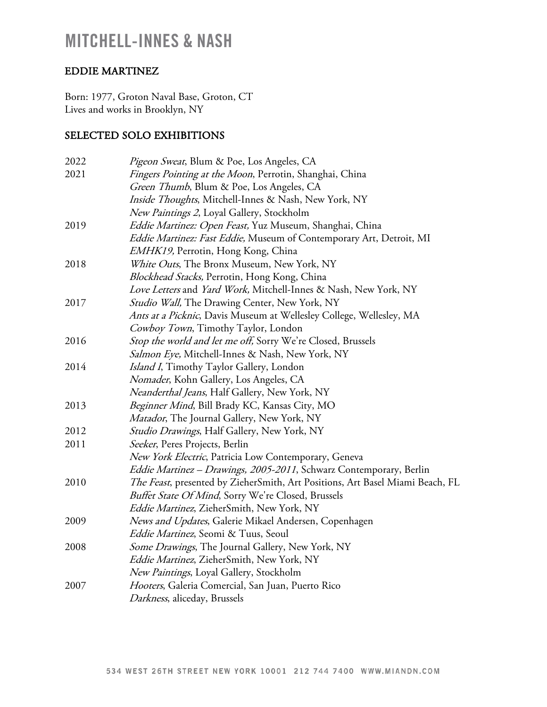## EDDIE MARTINEZ

Born: 1977, Groton Naval Base, Groton, CT Lives and works in Brooklyn, NY

### SELECTED SOLO EXHIBITIONS

| 2022 | <i>Pigeon Sweat</i> , Blum & Poe, Los Angeles, CA                             |
|------|-------------------------------------------------------------------------------|
| 2021 | Fingers Pointing at the Moon, Perrotin, Shanghai, China                       |
|      | Green Thumb, Blum & Poe, Los Angeles, CA                                      |
|      | Inside Thoughts, Mitchell-Innes & Nash, New York, NY                          |
|      | New Paintings 2, Loyal Gallery, Stockholm                                     |
| 2019 | Eddie Martinez: Open Feast, Yuz Museum, Shanghai, China                       |
|      | Eddie Martinez: Fast Eddie, Museum of Contemporary Art, Detroit, MI           |
|      | EMHK19, Perrotin, Hong Kong, China                                            |
| 2018 | White Outs, The Bronx Museum, New York, NY                                    |
|      | Blockhead Stacks, Perrotin, Hong Kong, China                                  |
|      | Love Letters and Yard Work, Mitchell-Innes & Nash, New York, NY               |
| 2017 | Studio Wall, The Drawing Center, New York, NY                                 |
|      | Ants at a Picknic, Davis Museum at Wellesley College, Wellesley, MA           |
|      | Cowboy Town, Timothy Taylor, London                                           |
| 2016 | Stop the world and let me off, Sorry We're Closed, Brussels                   |
|      | Salmon Eye, Mitchell-Innes & Nash, New York, NY                               |
| 2014 | Island I, Timothy Taylor Gallery, London                                      |
|      | Nomader, Kohn Gallery, Los Angeles, CA                                        |
|      | Neanderthal Jeans, Half Gallery, New York, NY                                 |
| 2013 | Beginner Mind, Bill Brady KC, Kansas City, MO                                 |
|      | Matador, The Journal Gallery, New York, NY                                    |
| 2012 | Studio Drawings, Half Gallery, New York, NY                                   |
| 2011 | Seeker, Peres Projects, Berlin                                                |
|      | New York Electric, Patricia Low Contemporary, Geneva                          |
|      | Eddie Martinez - Drawings, 2005-2011, Schwarz Contemporary, Berlin            |
| 2010 | The Feast, presented by ZieherSmith, Art Positions, Art Basel Miami Beach, FL |
|      | Buffet State Of Mind, Sorry We're Closed, Brussels                            |
|      | Eddie Martinez, ZieherSmith, New York, NY                                     |
| 2009 | News and Updates, Galerie Mikael Andersen, Copenhagen                         |
|      | Eddie Martinez, Seomi & Tuus, Seoul                                           |
| 2008 | Some Drawings, The Journal Gallery, New York, NY                              |
|      | <i>Eddie Martinez</i> , ZieherSmith, New York, NY                             |
|      | New Paintings, Loyal Gallery, Stockholm                                       |
| 2007 | Hooters, Galeria Comercial, San Juan, Puerto Rico                             |
|      | Darkness, aliceday, Brussels                                                  |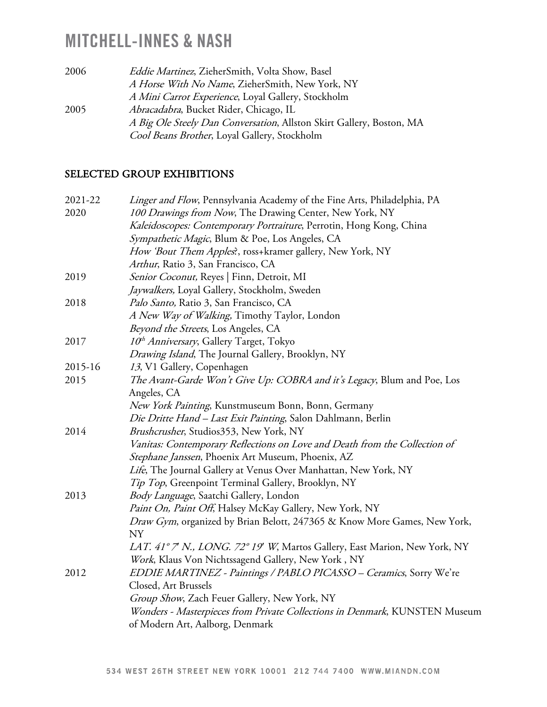| 2006 | Eddie Martinez, ZieherSmith, Volta Show, Basel                       |
|------|----------------------------------------------------------------------|
|      | A Horse With No Name, ZieherSmith, New York, NY                      |
|      | A Mini Carrot Experience, Loyal Gallery, Stockholm                   |
| 2005 | <i>Abracadabra</i> , Bucket Rider, Chicago, IL                       |
|      | A Big Ole Steely Dan Conversation, Allston Skirt Gallery, Boston, MA |
|      | Cool Beans Brother, Loyal Gallery, Stockholm                         |

#### SELECTED GROUP EXHIBITIONS

| 2021-22 | Linger and Flow, Pennsylvania Academy of the Fine Arts, Philadelphia, PA   |
|---------|----------------------------------------------------------------------------|
| 2020    | 100 Drawings from Now, The Drawing Center, New York, NY                    |
|         | Kaleidoscopes: Contemporary Portraiture, Perrotin, Hong Kong, China        |
|         | Sympathetic Magic, Blum & Poe, Los Angeles, CA                             |
|         | How 'Bout Them Apples', ross+kramer gallery, New York, NY                  |
|         | Arthur, Ratio 3, San Francisco, CA                                         |
| 2019    | Senior Coconut, Reyes   Finn, Detroit, MI                                  |
|         | Jaywalkers, Loyal Gallery, Stockholm, Sweden                               |
| 2018    | Palo Santo, Ratio 3, San Francisco, CA                                     |
|         | A New Way of Walking, Timothy Taylor, London                               |
|         | Beyond the Streets, Los Angeles, CA                                        |
| 2017    | 10 <sup>th</sup> Anniversary, Gallery Target, Tokyo                        |
|         | Drawing Island, The Journal Gallery, Brooklyn, NY                          |
| 2015-16 | 13, V1 Gallery, Copenhagen                                                 |
| 2015    | The Avant-Garde Won't Give Up: COBRA and it's Legacy, Blum and Poe, Los    |
|         | Angeles, CA                                                                |
|         | New York Painting, Kunstmuseum Bonn, Bonn, Germany                         |
|         | Die Dritte Hand - Last Exit Painting, Salon Dahlmann, Berlin               |
| 2014    | Brushcrusher, Studios353, New York, NY                                     |
|         | Vanitas: Contemporary Reflections on Love and Death from the Collection of |
|         | Stephane Janssen, Phoenix Art Museum, Phoenix, AZ                          |
|         | Life, The Journal Gallery at Venus Over Manhattan, New York, NY            |
|         | Tip Top, Greenpoint Terminal Gallery, Brooklyn, NY                         |
| 2013    | Body Language, Saatchi Gallery, London                                     |
|         | Paint On, Paint Off, Halsey McKay Gallery, New York, NY                    |
|         | Draw Gym, organized by Brian Belott, 247365 & Know More Games, New York,   |
|         | NY                                                                         |
|         | LAT. 41° 7' N., LONG. 72° 19' W, Martos Gallery, East Marion, New York, NY |
|         | Work, Klaus Von Nichtssagend Gallery, New York, NY                         |
| 2012    | EDDIE MARTINEZ - Paintings / PABLO PICASSO - Ceramics, Sorry We're         |
|         | Closed, Art Brussels                                                       |
|         | Group Show, Zach Feuer Gallery, New York, NY                               |
|         | Wonders - Masterpieces from Private Collections in Denmark, KUNSTEN Museum |
|         | of Modern Art, Aalborg, Denmark                                            |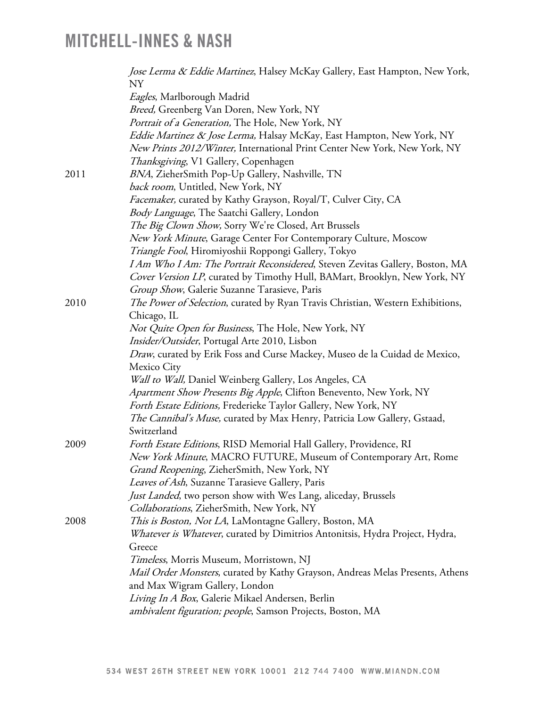|      | Jose Lerma & Eddie Martinez, Halsey McKay Gallery, East Hampton, New York,<br>NY                                                                          |
|------|-----------------------------------------------------------------------------------------------------------------------------------------------------------|
|      | Eagles, Marlborough Madrid                                                                                                                                |
|      | Breed, Greenberg Van Doren, New York, NY                                                                                                                  |
|      | Portrait of a Generation, The Hole, New York, NY                                                                                                          |
|      | Eddie Martinez & Jose Lerma, Halsay McKay, East Hampton, New York, NY<br>New Prints 2012/Winter, International Print Center New York, New York, NY        |
|      | Thanksgiving, V1 Gallery, Copenhagen                                                                                                                      |
| 2011 | BNA, ZieherSmith Pop-Up Gallery, Nashville, TN<br>back room, Untitled, New York, NY                                                                       |
|      | Facemaker, curated by Kathy Grayson, Royal/T, Culver City, CA                                                                                             |
|      | Body Language, The Saatchi Gallery, London                                                                                                                |
|      | The Big Clown Show, Sorry We're Closed, Art Brussels                                                                                                      |
|      | New York Minute, Garage Center For Contemporary Culture, Moscow                                                                                           |
|      | Triangle Fool, Hiromiyoshii Roppongi Gallery, Tokyo                                                                                                       |
|      | I Am Who I Am: The Portrait Reconsidered, Steven Zevitas Gallery, Boston, MA<br>Cover Version LP, curated by Timothy Hull, BAMart, Brooklyn, New York, NY |
|      | Group Show, Galerie Suzanne Tarasieve, Paris                                                                                                              |
| 2010 | The Power of Selection, curated by Ryan Travis Christian, Western Exhibitions,                                                                            |
|      | Chicago, IL                                                                                                                                               |
|      | Not Quite Open for Business, The Hole, New York, NY                                                                                                       |
|      | Insider/Outsider, Portugal Arte 2010, Lisbon                                                                                                              |
|      | Draw, curated by Erik Foss and Curse Mackey, Museo de la Cuidad de Mexico,                                                                                |
|      | Mexico City                                                                                                                                               |
|      | Wall to Wall, Daniel Weinberg Gallery, Los Angeles, CA                                                                                                    |
|      | Apartment Show Presents Big Apple, Clifton Benevento, New York, NY                                                                                        |
|      | Forth Estate Editions, Frederieke Taylor Gallery, New York, NY                                                                                            |
|      | The Cannibal's Muse, curated by Max Henry, Patricia Low Gallery, Gstaad,                                                                                  |
|      | Switzerland                                                                                                                                               |
| 2009 | Forth Estate Editions, RISD Memorial Hall Gallery, Providence, RI                                                                                         |
|      | New York Minute, MACRO FUTURE, Museum of Contemporary Art, Rome                                                                                           |
|      | Grand Reopening, ZieherSmith, New York, NY                                                                                                                |
|      | Leaves of Ash, Suzanne Tarasieve Gallery, Paris                                                                                                           |
|      | Just Landed, two person show with Wes Lang, aliceday, Brussels                                                                                            |
|      | Collaborations, ZieherSmith, New York, NY                                                                                                                 |
| 2008 | This is Boston, Not LA, LaMontagne Gallery, Boston, MA                                                                                                    |
|      | <i>Whatever is Whatever</i> , curated by Dimitrios Antonitsis, Hydra Project, Hydra,<br>Greece                                                            |
|      | Timeless, Morris Museum, Morristown, NJ                                                                                                                   |
|      | <i>Mail Order Monsters,</i> curated by Kathy Grayson, Andreas Melas Presents, Athens                                                                      |
|      | and Max Wigram Gallery, London                                                                                                                            |
|      | Living In A Box, Galerie Mikael Andersen, Berlin                                                                                                          |
|      | ambivalent figuration; people, Samson Projects, Boston, MA                                                                                                |
|      |                                                                                                                                                           |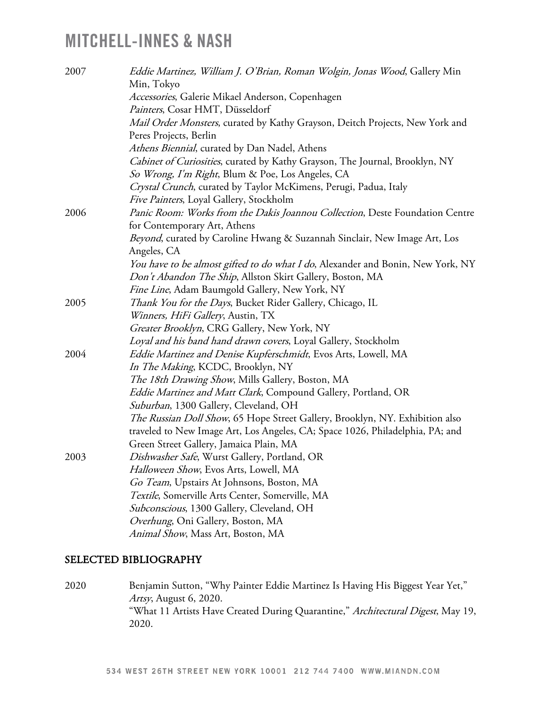| 2007 | Eddie Martinez, William J. O'Brian, Roman Wolgin, Jonas Wood, Gallery Min<br>Min, Tokyo |
|------|-----------------------------------------------------------------------------------------|
|      | Accessories, Galerie Mikael Anderson, Copenhagen                                        |
|      | Painters, Cosar HMT, Düsseldorf                                                         |
|      | Mail Order Monsters, curated by Kathy Grayson, Deitch Projects, New York and            |
|      | Peres Projects, Berlin                                                                  |
|      | Athens Biennial, curated by Dan Nadel, Athens                                           |
|      | Cabinet of Curiosities, curated by Kathy Grayson, The Journal, Brooklyn, NY             |
|      | So Wrong, I'm Right, Blum & Poe, Los Angeles, CA                                        |
|      | Crystal Crunch, curated by Taylor McKimens, Perugi, Padua, Italy                        |
|      | Five Painters, Loyal Gallery, Stockholm                                                 |
| 2006 | Panic Room: Works from the Dakis Joannou Collection, Deste Foundation Centre            |
|      | for Contemporary Art, Athens                                                            |
|      | Beyond, curated by Caroline Hwang & Suzannah Sinclair, New Image Art, Los               |
|      | Angeles, CA                                                                             |
|      | You have to be almost gifted to do what I do, Alexander and Bonin, New York, NY         |
|      | Don't Abandon The Ship, Allston Skirt Gallery, Boston, MA                               |
|      | Fine Line, Adam Baumgold Gallery, New York, NY                                          |
| 2005 | Thank You for the Days, Bucket Rider Gallery, Chicago, IL                               |
|      | Winners, HiFi Gallery, Austin, TX                                                       |
|      | Greater Brooklyn, CRG Gallery, New York, NY                                             |
|      | Loyal and his band hand drawn covers, Loyal Gallery, Stockholm                          |
| 2004 | <i>Eddie Martinez and Denise Kupferschmidt</i> , Evos Arts, Lowell, MA                  |
|      | In The Making, KCDC, Brooklyn, NY                                                       |
|      | The 18th Drawing Show, Mills Gallery, Boston, MA                                        |
|      | Eddie Martinez and Matt Clark, Compound Gallery, Portland, OR                           |
|      | Suburban, 1300 Gallery, Cleveland, OH                                                   |
|      | The Russian Doll Show, 65 Hope Street Gallery, Brooklyn, NY. Exhibition also            |
|      | traveled to New Image Art, Los Angeles, CA; Space 1026, Philadelphia, PA; and           |
|      | Green Street Gallery, Jamaica Plain, MA                                                 |
| 2003 | Dishwasher Safe, Wurst Gallery, Portland, OR                                            |
|      | Halloween Show, Evos Arts, Lowell, MA                                                   |
|      | Go Team, Upstairs At Johnsons, Boston, MA                                               |
|      | Textile, Somerville Arts Center, Somerville, MA                                         |
|      | Subconscious, 1300 Gallery, Cleveland, OH                                               |
|      | Overhung, Oni Gallery, Boston, MA                                                       |
|      | Animal Show, Mass Art, Boston, MA                                                       |

#### SELECTED BIBLIOGRAPHY

2020 Benjamin Sutton, "Why Painter Eddie Martinez Is Having His Biggest Year Yet," Artsy, August 6, 2020. "What 11 Artists Have Created During Quarantine," Architectural Digest, May 19, 2020.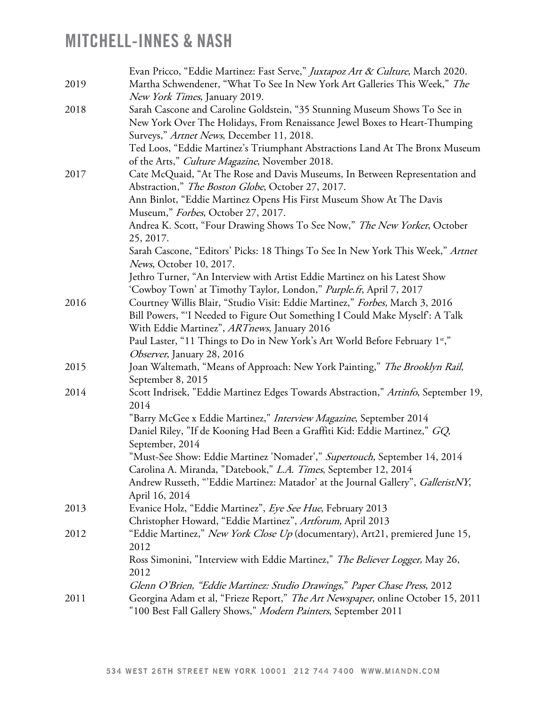|      | Evan Pricco, "Eddie Martinez: Fast Serve," Juxtapoz Art & Culture, March 2020.                  |
|------|-------------------------------------------------------------------------------------------------|
| 2019 | Martha Schwendener, "What To See In New York Art Galleries This Week," The                      |
|      | New York Times, January 2019.                                                                   |
| 2018 | Sarah Cascone and Caroline Goldstein, "35 Stunning Museum Shows To See in                       |
|      | New York Over The Holidays, From Renaissance Jewel Boxes to Heart-Thumping                      |
|      | Surveys," Artnet News, December 11, 2018.                                                       |
|      | Ted Loos, "Eddie Martinez's Triumphant Abstractions Land At The Bronx Museum                    |
|      | of the Arts," Culture Magazine, November 2018.                                                  |
| 2017 | Cate McQuaid, "At The Rose and Davis Museums, In Between Representation and                     |
|      | Abstraction," The Boston Globe, October 27, 2017.                                               |
|      | Ann Binlot, "Eddie Martinez Opens His First Museum Show At The Davis                            |
|      | Museum," Forbes, October 27, 2017.                                                              |
|      | Andrea K. Scott, "Four Drawing Shows To See Now," The New Yorker, October                       |
|      | 25, 2017.                                                                                       |
|      | Sarah Cascone, "Editors' Picks: 18 Things To See In New York This Week," Artnet                 |
|      | <i>News</i> , October 10, 2017.                                                                 |
|      | Jethro Turner, "An Interview with Artist Eddie Martinez on his Latest Show                      |
|      | 'Cowboy Town' at Timothy Taylor, London," Purple.fr, April 7, 2017                              |
| 2016 | Courtney Willis Blair, "Studio Visit: Eddie Martinez," Forbes, March 3, 2016                    |
|      | Bill Powers, "I Needed to Figure Out Something I Could Make Myself: A Talk                      |
|      | With Eddie Martinez", ARTnews, January 2016                                                     |
|      | Paul Laster, "11 Things to Do in New York's Art World Before February 1st,"                     |
|      | Observer, January 28, 2016                                                                      |
| 2015 | Joan Waltemath, "Means of Approach: New York Painting," The Brooklyn Rail,<br>September 8, 2015 |
| 2014 | Scott Indrisek, "Eddie Martinez Edges Towards Abstraction," Artinfo, September 19,<br>2014      |
|      | "Barry McGee x Eddie Martinez," Interview Magazine, September 2014                              |
|      | Daniel Riley, "If de Kooning Had Been a Graffiti Kid: Eddie Martinez," GQ,                      |
|      | September, 2014                                                                                 |
|      | "Must-See Show: Eddie Martinez 'Nomader'," Supertouch, September 14, 2014                       |
|      | Carolina A. Miranda, "Datebook," L.A. Times, September 12, 2014                                 |
|      | Andrew Russeth, "'Eddie Martinez: Matador' at the Journal Gallery", GalleristNY,                |
|      | April 16, 2014                                                                                  |
| 2013 | Evanice Holz, "Eddie Martinez", Eye See Hue, February 2013                                      |
|      | Christopher Howard, "Eddie Martinez", Artforum, April 2013                                      |
| 2012 | "Eddie Martinez," New York Close Up (documentary), Art21, premiered June 15,                    |
|      | 2012                                                                                            |
|      | Ross Simonini, "Interview with Eddie Martinez," The Believer Logger, May 26,                    |
|      | 2012                                                                                            |
|      | Glenn O'Brien, "Eddie Martinez: Studio Drawings," Paper Chase Press, 2012                       |
| 2011 | Georgina Adam et al, "Frieze Report," The Art Newspaper, online October 15, 2011                |
|      | "100 Best Fall Gallery Shows," Modern Painters, September 2011                                  |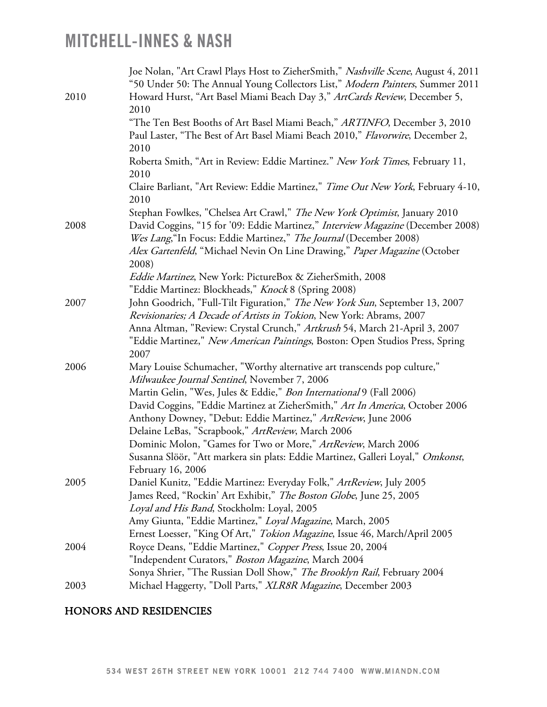|      | Joe Nolan, "Art Crawl Plays Host to ZieherSmith," Nashville Scene, August 4, 2011<br>"50 Under 50: The Annual Young Collectors List," Modern Painters, Summer 2011 |
|------|--------------------------------------------------------------------------------------------------------------------------------------------------------------------|
| 2010 | Howard Hurst, "Art Basel Miami Beach Day 3," ArtCards Review, December 5,                                                                                          |
|      | 2010                                                                                                                                                               |
|      | "The Ten Best Booths of Art Basel Miami Beach," ARTINFO, December 3, 2010                                                                                          |
|      | Paul Laster, "The Best of Art Basel Miami Beach 2010," Flavorwire, December 2,<br>2010                                                                             |
|      | Roberta Smith, "Art in Review: Eddie Martinez." New York Times, February 11,                                                                                       |
|      | 2010                                                                                                                                                               |
|      | Claire Barliant, "Art Review: Eddie Martinez," Time Out New York, February 4-10,<br>2010                                                                           |
|      | Stephan Fowlkes, "Chelsea Art Crawl," The New York Optimist, January 2010                                                                                          |
| 2008 | David Coggins, "15 for '09: Eddie Martinez," Interview Magazine (December 2008)                                                                                    |
|      | Wes Lang, "In Focus: Eddie Martinez," The Journal (December 2008)                                                                                                  |
|      | Alex Gartenfeld, "Michael Nevin On Line Drawing," Paper Magazine (October<br>2008)                                                                                 |
|      | Eddie Martinez, New York: PictureBox & ZieherSmith, 2008                                                                                                           |
|      | "Eddie Martinez: Blockheads," Knock 8 (Spring 2008)                                                                                                                |
| 2007 | John Goodrich, "Full-Tilt Figuration," The New York Sun, September 13, 2007                                                                                        |
|      | Revisionaries; A Decade of Artists in Tokion, New York: Abrams, 2007                                                                                               |
|      | Anna Altman, "Review: Crystal Crunch," Artkrush 54, March 21-April 3, 2007                                                                                         |
|      | "Eddie Martinez," New American Paintings, Boston: Open Studios Press, Spring                                                                                       |
|      | 2007                                                                                                                                                               |
| 2006 | Mary Louise Schumacher, "Worthy alternative art transcends pop culture,"                                                                                           |
|      | Milwaukee Journal Sentinel, November 7, 2006                                                                                                                       |
|      | Martin Gelin, "Wes, Jules & Eddie," Bon International 9 (Fall 2006)                                                                                                |
|      | David Coggins, "Eddie Martinez at ZieherSmith," Art In America, October 2006                                                                                       |
|      | Anthony Downey, "Debut: Eddie Martinez," ArtReview, June 2006                                                                                                      |
|      | Delaine LeBas, "Scrapbook," ArtReview, March 2006                                                                                                                  |
|      | Dominic Molon, "Games for Two or More," ArtReview, March 2006                                                                                                      |
|      | Susanna Slöör, "Att markera sin plats: Eddie Martinez, Galleri Loyal," Omkonst,                                                                                    |
|      | February 16, 2006                                                                                                                                                  |
| 2005 | Daniel Kunitz, "Eddie Martinez: Everyday Folk," ArtReview, July 2005                                                                                               |
|      | James Reed, "Rockin' Art Exhibit," The Boston Globe, June 25, 2005                                                                                                 |
|      | Loyal and His Band, Stockholm: Loyal, 2005                                                                                                                         |
|      | Amy Giunta, "Eddie Martinez," Loyal Magazine, March, 2005                                                                                                          |
|      | Ernest Loesser, "King Of Art," Tokion Magazine, Issue 46, March/April 2005                                                                                         |
| 2004 | Royce Deans, "Eddie Martinez," Copper Press, Issue 20, 2004                                                                                                        |
|      | "Independent Curators," Boston Magazine, March 2004                                                                                                                |
|      | Sonya Shrier, "The Russian Doll Show," The Brooklyn Rail, February 2004                                                                                            |
| 2003 | Michael Haggerty, "Doll Parts," XLR8R Magazine, December 2003                                                                                                      |

### HONORS AND RESIDENCIES